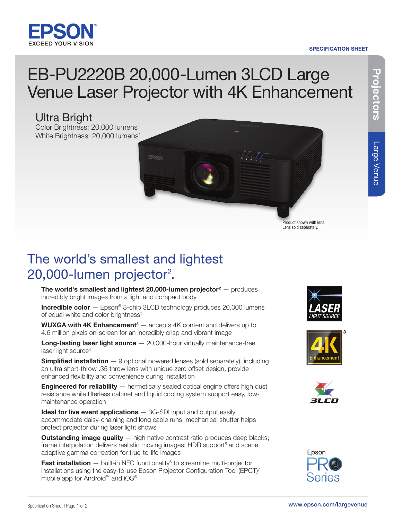

# SPECIFICATION SHEET

# EB-PU2220B 20,000-Lumen 3LCD Large Venue Laser Projector with 4K Enhancement

# Ultra Bright

Color Brightness: 20,000 lumens<sup>1</sup> White Brightness: 20,000 lumens<sup>1</sup>



Projectors

Projectors

# The world's smallest and lightest 20,000-lumen projector<sup>2</sup>.

The world's smallest and lightest 20,000-lumen projector $2 -$  produces incredibly bright images from a light and compact body

Incredible color - Epson® 3-chip 3LCD technology produces 20,000 lumens of equal white and color brightness<sup>1</sup>

**WUXGA with 4K Enhancement** $3 -$  accepts 4K content and delivers up to 4.6 million pixels on-screen for an incredibly crisp and vibrant image

**Long-lasting laser light source**  $-$  20,000-hour virtually maintenance-free laser light source<sup>4</sup>

**Simplified installation** - 9 optional powered lenses (sold separately), including an ultra short-throw .35 throw lens with unique zero offset design, provide enhanced flexibility and convenience during installation

**Engineered for reliability** — hermetically sealed optical engine offers high dust resistance while filterless cabinet and liquid cooling system support easy, lowmaintenance operation

**Ideal for live event applications**  $-$  3G-SDI input and output easily accommodate daisy-chaining and long cable runs; mechanical shutter helps protect projector during laser light shows

**Outstanding image quality**  $-$  high native contrast ratio produces deep blacks; frame interpolation delivers realistic moving images; HDR support<sup>5</sup> and scene adaptive gamma correction for true-to-life images

**Fast installation**  $-$  built-in NFC functionality $\delta$  to streamline multi-projector installations using the easy-to-use Epson Projector Configuration Tool (EPCT)<sup>7</sup> mobile app for Android™ and iOS®